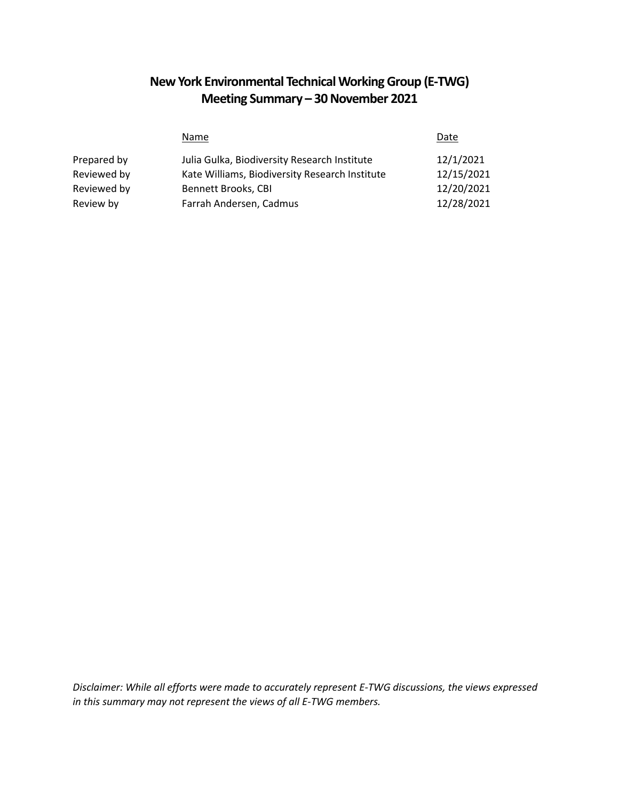## **New York Environmental Technical Working Group (E-TWG) Meeting Summary – 30 November 2021**

|             | <b>Name</b>                                    | Date       |
|-------------|------------------------------------------------|------------|
| Prepared by | Julia Gulka, Biodiversity Research Institute   | 12/1/2021  |
| Reviewed by | Kate Williams, Biodiversity Research Institute | 12/15/2021 |
| Reviewed by | <b>Bennett Brooks, CBI</b>                     | 12/20/2021 |
| Review by   | Farrah Andersen, Cadmus                        | 12/28/2021 |

*Disclaimer: While all efforts were made to accurately represent E-TWG discussions, the views expressed in this summary may not represent the views of all E-TWG members.*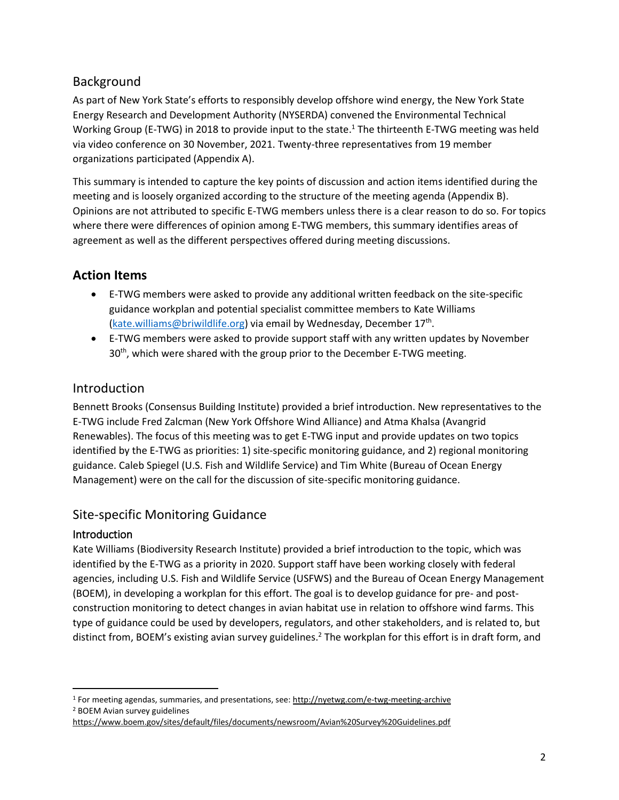### Background

As part of New York State's efforts to responsibly develop offshore wind energy, the New York State Energy Research and Development Authority (NYSERDA) convened the Environmental Technical Working Group (E-TWG) in 2018 to provide input to the state.<sup>1</sup> The thirteenth E-TWG meeting was held via video conference on 30 November, 2021. Twenty-three representatives from 19 member organizations participated (Appendix A).

This summary is intended to capture the key points of discussion and action items identified during the meeting and is loosely organized according to the structure of the meeting agenda (Appendix B). Opinions are not attributed to specific E-TWG members unless there is a clear reason to do so. For topics where there were differences of opinion among E-TWG members, this summary identifies areas of agreement as well as the different perspectives offered during meeting discussions.

## **Action Items**

- E-TWG members were asked to provide any additional written feedback on the site-specific guidance workplan and potential specialist committee members to Kate Williams [\(kate.williams@briwildlife.org\)](mailto:kate.williams@briwildlife.org) via email by Wednesday, December 17<sup>th</sup>.
- E-TWG members were asked to provide support staff with any written updates by November 30<sup>th</sup>, which were shared with the group prior to the December E-TWG meeting.

## **Introduction**

Bennett Brooks (Consensus Building Institute) provided a brief introduction. New representatives to the E-TWG include Fred Zalcman (New York Offshore Wind Alliance) and Atma Khalsa (Avangrid Renewables). The focus of this meeting was to get E-TWG input and provide updates on two topics identified by the E-TWG as priorities: 1) site-specific monitoring guidance, and 2) regional monitoring guidance. Caleb Spiegel (U.S. Fish and Wildlife Service) and Tim White (Bureau of Ocean Energy Management) were on the call for the discussion of site-specific monitoring guidance.

## Site-specific Monitoring Guidance

#### Introduction

Kate Williams (Biodiversity Research Institute) provided a brief introduction to the topic, which was identified by the E-TWG as a priority in 2020. Support staff have been working closely with federal agencies, including U.S. Fish and Wildlife Service (USFWS) and the Bureau of Ocean Energy Management (BOEM), in developing a workplan for this effort. The goal is to develop guidance for pre- and postconstruction monitoring to detect changes in avian habitat use in relation to offshore wind farms. This type of guidance could be used by developers, regulators, and other stakeholders, and is related to, but distinct from, BOEM's existing avian survey guidelines.<sup>2</sup> The workplan for this effort is in draft form, and

 $\overline{\phantom{a}}$ <sup>1</sup> For meeting agendas, summaries, and presentations, see: [http://nyetwg.com/e](http://nyetwg.com/)-twg-meeting-archive

<sup>2</sup> BOEM Avian survey guidelines

<https://www.boem.gov/sites/default/files/documents/newsroom/Avian%20Survey%20Guidelines.pdf>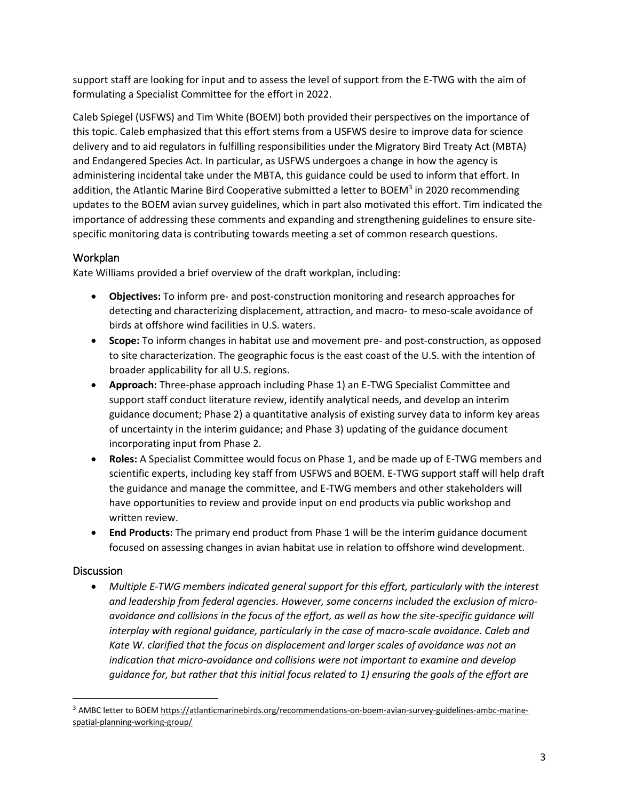support staff are looking for input and to assess the level of support from the E-TWG with the aim of formulating a Specialist Committee for the effort in 2022.

Caleb Spiegel (USFWS) and Tim White (BOEM) both provided their perspectives on the importance of this topic. Caleb emphasized that this effort stems from a USFWS desire to improve data for science delivery and to aid regulators in fulfilling responsibilities under the Migratory Bird Treaty Act (MBTA) and Endangered Species Act. In particular, as USFWS undergoes a change in how the agency is administering incidental take under the MBTA, this guidance could be used to inform that effort. In addition, the Atlantic Marine Bird Cooperative submitted a letter to BOEM<sup>3</sup> in 2020 recommending updates to the BOEM avian survey guidelines, which in part also motivated this effort. Tim indicated the importance of addressing these comments and expanding and strengthening guidelines to ensure sitespecific monitoring data is contributing towards meeting a set of common research questions.

#### Workplan

Kate Williams provided a brief overview of the draft workplan, including:

- **Objectives:** To inform pre- and post-construction monitoring and research approaches for detecting and characterizing displacement, attraction, and macro- to meso-scale avoidance of birds at offshore wind facilities in U.S. waters.
- **Scope:** To inform changes in habitat use and movement pre- and post-construction, as opposed to site characterization. The geographic focus is the east coast of the U.S. with the intention of broader applicability for all U.S. regions.
- **Approach:** Three-phase approach including Phase 1) an E-TWG Specialist Committee and support staff conduct literature review, identify analytical needs, and develop an interim guidance document; Phase 2) a quantitative analysis of existing survey data to inform key areas of uncertainty in the interim guidance; and Phase 3) updating of the guidance document incorporating input from Phase 2.
- **Roles:** A Specialist Committee would focus on Phase 1, and be made up of E-TWG members and scientific experts, including key staff from USFWS and BOEM. E-TWG support staff will help draft the guidance and manage the committee, and E-TWG members and other stakeholders will have opportunities to review and provide input on end products via public workshop and written review.
- **End Products:** The primary end product from Phase 1 will be the interim guidance document focused on assessing changes in avian habitat use in relation to offshore wind development.

#### **Discussion**

 $\overline{\phantom{a}}$ 

• *Multiple E-TWG members indicated general support for this effort, particularly with the interest and leadership from federal agencies. However, some concerns included the exclusion of microavoidance and collisions in the focus of the effort, as well as how the site-specific guidance will*  interplay with regional guidance, particularly in the case of macro-scale avoidance. Caleb and *Kate W. clarified that the focus on displacement and larger scales of avoidance was not an indication that micro-avoidance and collisions were not important to examine and develop guidance for, but rather that this initial focus related to 1) ensuring the goals of the effort are*

<sup>&</sup>lt;sup>3</sup> AMBC letter to BOE[M https://atlanticmarinebirds.org/recommendations-on-boem-avian-survey-guidelines-ambc-marine](https://atlanticmarinebirds.org/recommendations-on-boem-avian-survey-guidelines-ambc-marine-spatial-planning-working-group/)[spatial-planning-working-group/](https://atlanticmarinebirds.org/recommendations-on-boem-avian-survey-guidelines-ambc-marine-spatial-planning-working-group/)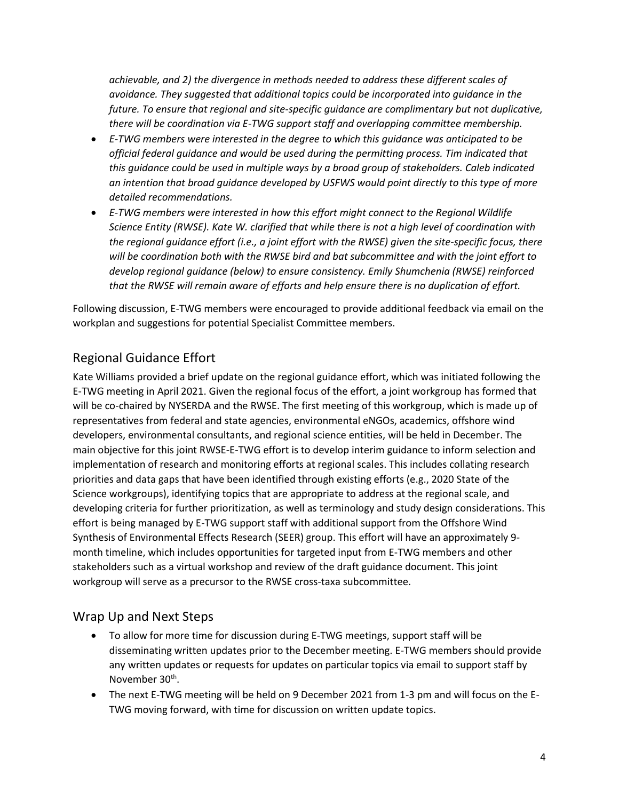*achievable, and 2) the divergence in methods needed to address these different scales of avoidance. They suggested that additional topics could be incorporated into guidance in the future. To ensure that regional and site-specific guidance are complimentary but not duplicative, there will be coordination via E-TWG support staff and overlapping committee membership.*

- *E-TWG members were interested in the degree to which this guidance was anticipated to be official federal guidance and would be used during the permitting process. Tim indicated that this guidance could be used in multiple ways by a broad group of stakeholders. Caleb indicated an intention that broad guidance developed by USFWS would point directly to this type of more detailed recommendations.*
- *E-TWG members were interested in how this effort might connect to the Regional Wildlife Science Entity (RWSE). Kate W. clarified that while there is not a high level of coordination with the regional guidance effort (i.e., a joint effort with the RWSE) given the site-specific focus, there will be coordination both with the RWSE bird and bat subcommittee and with the joint effort to develop regional guidance (below) to ensure consistency. Emily Shumchenia (RWSE) reinforced that the RWSE will remain aware of efforts and help ensure there is no duplication of effort.*

Following discussion, E-TWG members were encouraged to provide additional feedback via email on the workplan and suggestions for potential Specialist Committee members.

## Regional Guidance Effort

Kate Williams provided a brief update on the regional guidance effort, which was initiated following the E-TWG meeting in April 2021. Given the regional focus of the effort, a joint workgroup has formed that will be co-chaired by NYSERDA and the RWSE. The first meeting of this workgroup, which is made up of representatives from federal and state agencies, environmental eNGOs, academics, offshore wind developers, environmental consultants, and regional science entities, will be held in December. The main objective for this joint RWSE-E-TWG effort is to develop interim guidance to inform selection and implementation of research and monitoring efforts at regional scales. This includes collating research priorities and data gaps that have been identified through existing efforts (e.g., 2020 State of the Science workgroups), identifying topics that are appropriate to address at the regional scale, and developing criteria for further prioritization, as well as terminology and study design considerations. This effort is being managed by E-TWG support staff with additional support from the Offshore Wind Synthesis of Environmental Effects Research (SEER) group. This effort will have an approximately 9 month timeline, which includes opportunities for targeted input from E-TWG members and other stakeholders such as a virtual workshop and review of the draft guidance document. This joint workgroup will serve as a precursor to the RWSE cross-taxa subcommittee.

### Wrap Up and Next Steps

- To allow for more time for discussion during E-TWG meetings, support staff will be disseminating written updates prior to the December meeting. E-TWG members should provide any written updates or requests for updates on particular topics via email to support staff by November 30<sup>th</sup>.
- The next E-TWG meeting will be held on 9 December 2021 from 1-3 pm and will focus on the E-TWG moving forward, with time for discussion on written update topics.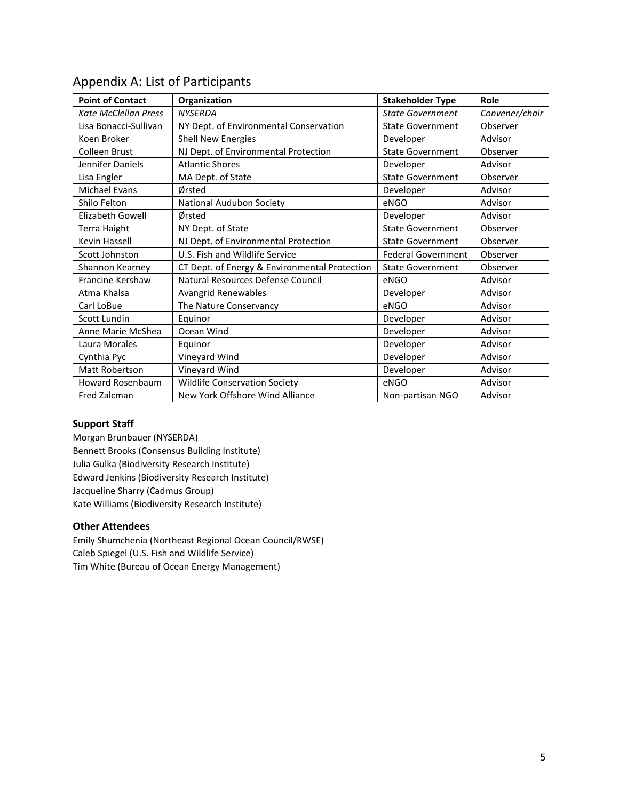| <b>Point of Contact</b>     | Organization                                  | <b>Stakeholder Type</b>   | Role           |
|-----------------------------|-----------------------------------------------|---------------------------|----------------|
| <b>Kate McClellan Press</b> | <b>NYSERDA</b>                                | <b>State Government</b>   | Convener/chair |
| Lisa Bonacci-Sullivan       | NY Dept. of Environmental Conservation        | <b>State Government</b>   | Observer       |
| Koen Broker                 | <b>Shell New Energies</b>                     | Developer                 | Advisor        |
| <b>Colleen Brust</b>        | NJ Dept. of Environmental Protection          | <b>State Government</b>   | Observer       |
| Jennifer Daniels            | <b>Atlantic Shores</b>                        | Developer                 | Advisor        |
| Lisa Engler                 | MA Dept. of State                             | <b>State Government</b>   | Observer       |
| <b>Michael Evans</b>        | Ørsted                                        | Developer                 | Advisor        |
| Shilo Felton                | National Audubon Society                      | eNGO                      | Advisor        |
| <b>Elizabeth Gowell</b>     | Ørsted                                        | Developer                 | Advisor        |
| Terra Haight                | NY Dept. of State                             | <b>State Government</b>   | Observer       |
| Kevin Hassell               | NJ Dept. of Environmental Protection          | <b>State Government</b>   | Observer       |
| Scott Johnston              | U.S. Fish and Wildlife Service                | <b>Federal Government</b> | Observer       |
| Shannon Kearney             | CT Dept. of Energy & Environmental Protection | <b>State Government</b>   | Observer       |
| <b>Francine Kershaw</b>     | Natural Resources Defense Council             | eNGO                      | Advisor        |
| Atma Khalsa                 | Avangrid Renewables                           | Developer                 | Advisor        |
| Carl LoBue                  | The Nature Conservancy                        | eNGO                      | Advisor        |
| Scott Lundin                | Equinor                                       | Developer                 | Advisor        |
| Anne Marie McShea           | Ocean Wind                                    | Developer                 | Advisor        |
| Laura Morales               | Equinor                                       | Developer                 | Advisor        |
| Cynthia Pyc                 | Vineyard Wind                                 | Developer                 | Advisor        |
| Matt Robertson              | Vineyard Wind                                 | Developer                 | Advisor        |
| <b>Howard Rosenbaum</b>     | <b>Wildlife Conservation Society</b>          | eNGO                      | Advisor        |
| Fred Zalcman                | New York Offshore Wind Alliance               | Non-partisan NGO          | Advisor        |

### Appendix A: List of Participants

#### **Support Staff**

Morgan Brunbauer (NYSERDA) Bennett Brooks (Consensus Building Institute) Julia Gulka (Biodiversity Research Institute) Edward Jenkins (Biodiversity Research Institute) Jacqueline Sharry (Cadmus Group) Kate Williams (Biodiversity Research Institute)

#### **Other Attendees**

Emily Shumchenia (Northeast Regional Ocean Council/RWSE) Caleb Spiegel (U.S. Fish and Wildlife Service) Tim White (Bureau of Ocean Energy Management)